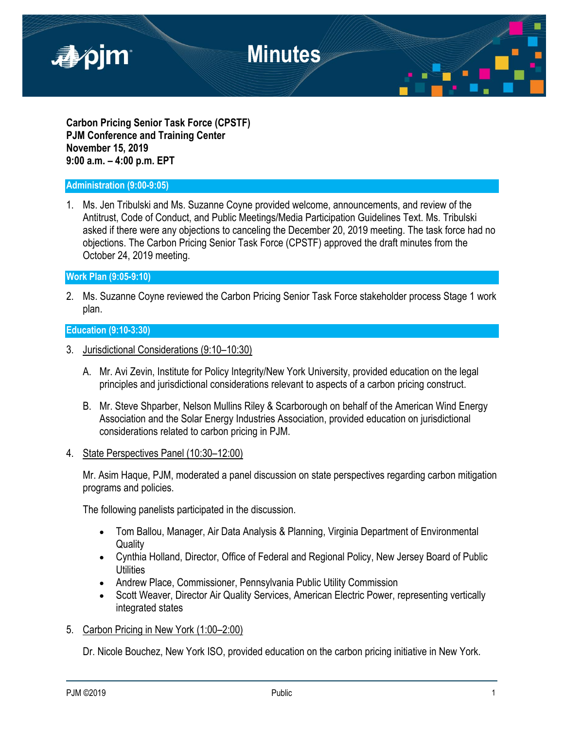

**Carbon Pricing Senior Task Force (CPSTF) PJM Conference and Training Center November 15, 2019 9:00 a.m. – 4:00 p.m. EPT**

#### **Administration (9:00-9:05)**

1. Ms. Jen Tribulski and Ms. Suzanne Coyne provided welcome, announcements, and review of the Antitrust, Code of Conduct, and Public Meetings/Media Participation Guidelines Text. Ms. Tribulski asked if there were any objections to canceling the December 20, 2019 meeting. The task force had no objections. The Carbon Pricing Senior Task Force (CPSTF) approved the draft minutes from the October 24, 2019 meeting.

#### **Work Plan (9:05-9:10)**

2. Ms. Suzanne Coyne reviewed the Carbon Pricing Senior Task Force stakeholder process Stage 1 work plan.

#### **Education (9:10-3:30)**

- 3. Jurisdictional Considerations (9:10–10:30)
	- A. Mr. Avi Zevin, Institute for Policy Integrity/New York University, provided education on the legal principles and jurisdictional considerations relevant to aspects of a carbon pricing construct.
	- B. Mr. Steve Shparber, Nelson Mullins Riley & Scarborough on behalf of the American Wind Energy Association and the Solar Energy Industries Association, provided education on jurisdictional considerations related to carbon pricing in PJM.
- 4. State Perspectives Panel (10:30–12:00)

Mr. Asim Haque, PJM, moderated a panel discussion on state perspectives regarding carbon mitigation programs and policies.

The following panelists participated in the discussion.

- Tom Ballou, Manager, Air Data Analysis & Planning, Virginia Department of Environmental **Quality**
- Cynthia Holland, Director, Office of Federal and Regional Policy, New Jersey Board of Public **Utilities**
- Andrew Place, Commissioner, Pennsylvania Public Utility Commission
- Scott Weaver, Director Air Quality Services, American Electric Power, representing vertically integrated states

### 5. Carbon Pricing in New York (1:00–2:00)

Dr. Nicole Bouchez, New York ISO, provided education on the carbon pricing initiative in New York.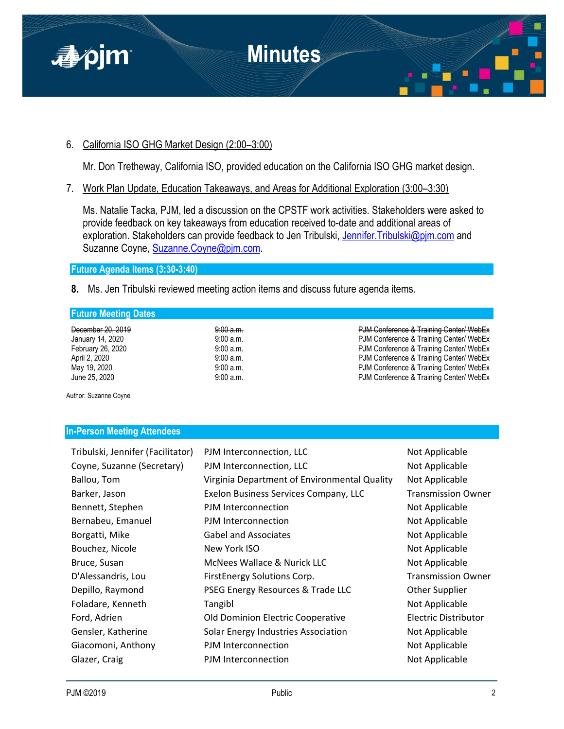

### 6. California ISO GHG Market Design (2:00–3:00)

Mr. Don Tretheway, California ISO, provided education on the California ISO GHG market design.

7. Work Plan Update, Education Takeaways, and Areas for Additional Exploration (3:00–3:30)

Ms. Natalie Tacka, PJM, led a discussion on the CPSTF work activities. Stakeholders were asked to provide feedback on key takeaways from education received to-date and additional areas of exploration. Stakeholders can provide feedback to Jen Tribulski, Jennifer. Tribulski@pjm.com and Suzanne Coyne, [Suzanne.Coyne@pjm.com.](mailto:Suzanne.Coyne@pjm.com)

**Future Agenda Items (3:30-3:40)**

**8.** Ms. Jen Tribulski reviewed meeting action items and discuss future agenda items.

#### **Future Meeting Dates**

December 20, 2019 **PUM Conference & Training Center/ WebEx** PUM Conference & Training Center/ WebEx January 14, 2020 9:00 a.m. 9:00 a.m.<br>
PJM Conference & Training Center/ WebEx<br>
PJM Conference & Training Center/ WebEx February 26, 2020 **19:00 a.m.** 9:00 a.m. PJM Conference & Training Center/ WebEx<br>
9:00 a.m. PJM Conference & Training Center/ WebEx 9:00 a.m. **PJM Conference & Training Center/ WebEx** May 19, 2020 **19:00 a.m.** PJM Conference & Training Center/ WebEx<br>
19:00 a.m. PJM Conference & Training Center/ WebEx 9:00 a.m. **In the 25 a.m.** PJM Conference & Training Center/ WebEx

Author: Suzanne Coyne

#### **In-Person Meeting Attendees**

| Tribulski, Jennifer (Facilitator) | PJM Interconnection, LLC                     | Not Applicable            |
|-----------------------------------|----------------------------------------------|---------------------------|
| Coyne, Suzanne (Secretary)        | PJM Interconnection, LLC                     | Not Applicable            |
| Ballou, Tom                       | Virginia Department of Environmental Quality | Not Applicable            |
| Barker, Jason                     | Exelon Business Services Company, LLC        | <b>Transmission Owner</b> |
| Bennett, Stephen                  | PJM Interconnection                          | Not Applicable            |
| Bernabeu, Emanuel                 | PJM Interconnection                          | Not Applicable            |
| Borgatti, Mike                    | <b>Gabel and Associates</b>                  | Not Applicable            |
| Bouchez, Nicole                   | New York ISO                                 | Not Applicable            |
| Bruce, Susan                      | McNees Wallace & Nurick LLC                  | Not Applicable            |
| D'Alessandris, Lou                | FirstEnergy Solutions Corp.                  | <b>Transmission Owner</b> |
| Depillo, Raymond                  | PSEG Energy Resources & Trade LLC            | Other Supplier            |
| Foladare, Kenneth                 | Tangibl                                      | Not Applicable            |
| Ford, Adrien                      | Old Dominion Electric Cooperative            | Electric Distributor      |
| Gensler, Katherine                | Solar Energy Industries Association          | Not Applicable            |
| Giacomoni, Anthony                | PJM Interconnection                          | Not Applicable            |
| Glazer, Craig                     | PJM Interconnection                          | Not Applicable            |
|                                   |                                              |                           |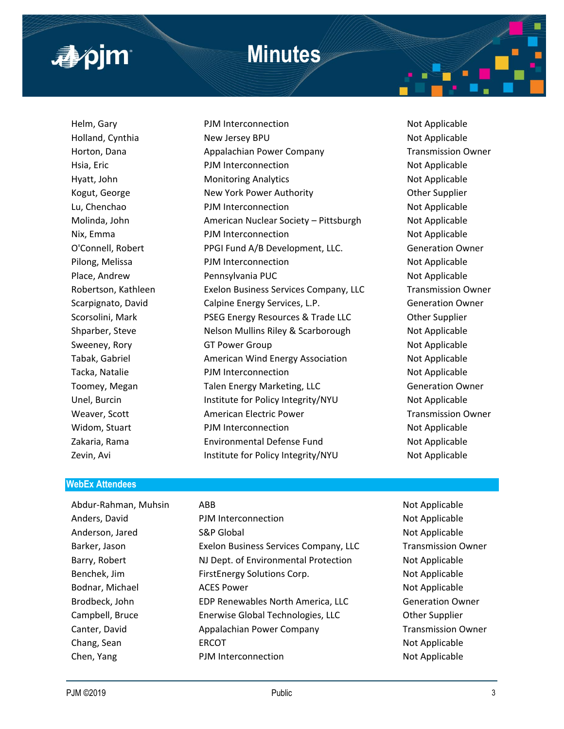

# **Minutes**

Helm, Gary **PJM Interconnection** Not Applicable Holland, Cynthia **New Jersey BPU** Not Applicable Horton, Dana **Appalachian Power Company Transmission Owner** Hsia, Eric **Eric Election** PJM Interconnection **Not Applicable** Not Applicable Hyatt, John **Monitoring Analytics** Not Applicable Not Applicable Kogut, George The New York Power Authority The Communist Communist Communist Communist Communist Communist Communist Communist Communist Communist Communist Communist Communist Communist Communist Communist Communist Commu Lu, Chenchao **PJM Interconnection PLO PIM Interconnection Not Applicable** Molinda, John **American Nuclear Society – Pittsburgh** Not Applicable Nix, Emma **PJM Interconnection PJM Interconnection PJM Interconnection** O'Connell, Robert PPGI Fund A/B Development, LLC. Generation Owner Pilong, Melissa **PJM Interconnection** Provide a Report Applicable Place, Andrew **Pennsylvania PUC** Not Applicable Robertson, Kathleen Exelon Business Services Company, LLC Transmission Owner Scarpignato, David Calpine Energy Services, L.P. Carpignato, David Ceneration Owner Scorsolini, Mark **PSEG Energy Resources & Trade LLC** Other Supplier Shparber, Steve **Nelson Mullins Riley & Scarborough** Not Applicable Sweeney, Rory **GT Power Group Not Applicable** Not Applicable Tabak, Gabriel **American Wind Energy Association** Not Applicable Tacka, Natalie **Note Applicable** PJM Interconnection Not Applicable Toomey, Megan Talen Energy Marketing, LLC Generation Owner Unel, Burcin **Institute for Policy Integrity/NYU** Not Applicable Weaver, Scott **American Electric Power American Electric Power** Transmission Owner Widom, Stuart **PJM Interconnection** Not Applicable Zakaria, Rama Environmental Defense Fund Not Applicable Zevin, Avi **Institute for Policy Integrity/NYU** Not Applicable

#### **WebEx Attendees**

Abdur-Rahman, Muhsin ABB Abdur-Rahman, Muhsin ABB Abdur-Rahman, Muhsin Abdur-Rahman, Muhsin Abdur-Rahman, Muhsi

Anders, David **PJM Interconnection** and the Not Applicable Anderson, Jared S&P Global Sand Controller Same Not Applicable Barker, Jason Exelon Business Services Company, LLC Transmission Owner Barry, Robert **NJ Dept. of Environmental Protection** Not Applicable Benchek, Jim FirstEnergy Solutions Corp. Not Applicable Bodnar, Michael **ACES Power** Not Applicable Brodbeck, John EDP Renewables North America, LLC Generation Owner Campbell, Bruce Enerwise Global Technologies, LLC Other Supplier Canter, David Appalachian Power Company Transmission Owner Chang, Sean **ERCOT** ERCOT EXAMPLE 2014 12:30 ROT Applicable Chen, Yang **PJM Interconnection** and Mot Applicable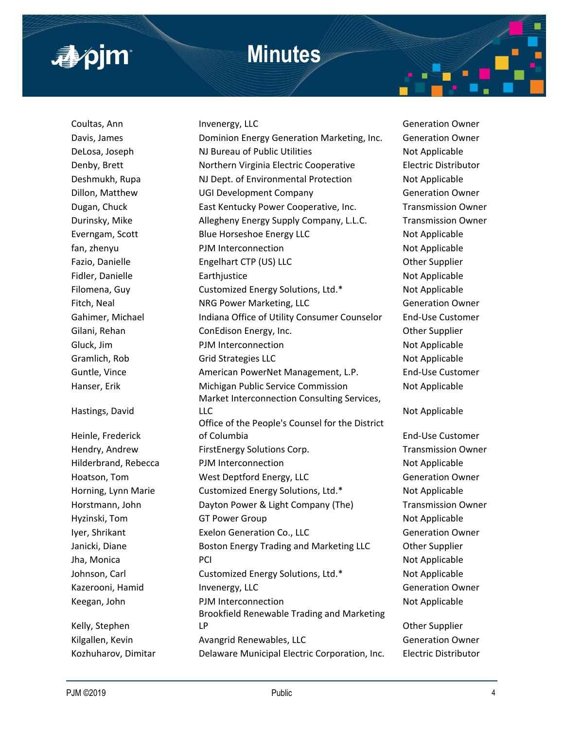# **Minutes**



Hastings, David Heinle, Frederick

Kelly, Stephen

Coultas, Ann **Invenergy, LLC** Coultas, Ann Invenergy, LLC Davis, James Dominion Energy Generation Marketing, Inc. Generation Owner DeLosa, Joseph **NJ Bureau of Public Utilities** Not Applicable Denby, Brett Northern Virginia Electric Cooperative Electric Distributor Deshmukh, Rupa **NJ Dept.** of Environmental Protection Not Applicable Dillon, Matthew **DIGI Development Company** Generation Owner Dugan, Chuck East Kentucky Power Cooperative, Inc. Transmission Owner Durinsky, Mike Allegheny Energy Supply Company, L.L.C. Transmission Owner Everngam, Scott Blue Horseshoe Energy LLC Not Applicable fan, zhenyu **PJM Interconnection** and the Not Applicable Fazio, Danielle **Engelhart CTP (US) LLC** Engelhart CTP (US) LLC Fidler, Danielle **Earthjustice** Earthiustice **Earth** Earth Earth Earth Earth Earth Earth Earth Earth Earth Earth Earth Earth Earth Earth Earth Earth Earth Earth Earth Earth Earth Earth Earth Earth Earth Earth Earth Earth E Filomena, Guy Customized Energy Solutions, Ltd.\* Not Applicable Fitch, Neal **NRG Power Marketing, LLC** Generation Owner Gahimer, Michael **Indiana Office of Utility Consumer Counselor** End-Use Customer Gilani, Rehan **ConEdison Energy, Inc.** Content ConEdison Energy, Inc. Gluck, Jim **PJM Interconnection** and **Not Applicable** Gramlich, Rob Grid Strategies LLC Not Applicable Guntle, Vince **American PowerNet Management, L.P.** End-Use Customer Hanser, Erik Michigan Public Service Commission Not Applicable Market Interconnection Consulting Services, LLC Not Applicable Office of the People's Counsel for the District of Columbia End-Use Customer Hendry, Andrew **FirstEnergy Solutions Corp.** Transmission Owner Hilderbrand, Rebecca **PJM Interconnection** Not Applicable Hoatson, Tom **West Deptford Energy, LLC** Generation Owner Horning, Lynn Marie **Customized Energy Solutions, Ltd.\*** Not Applicable Horstmann, John **Dayton Power & Light Company (The)** Transmission Owner Hyzinski, Tom GT Power Group Not Applicable Not Applicable Iyer, Shrikant **Exelon Generation Co., LLC** Generation Owner Janicki, Diane **Boston Energy Trading and Marketing LLC** Other Supplier Jha, Monica PCI Not Applicable Johnson, Carl Customized Energy Solutions, Ltd.\* Not Applicable Kazerooni, Hamid **Invenergy, LLC** Communication Owner Keegan, John **PJM Interconnection** Not Applicable Brookfield Renewable Trading and Marketing LP Other Supplier

Kilgallen, Kevin **Avangrid Renewables, LLC** Generation Owner Kozhuharov, Dimitar Delaware Municipal Electric Corporation, Inc. Electric Distributor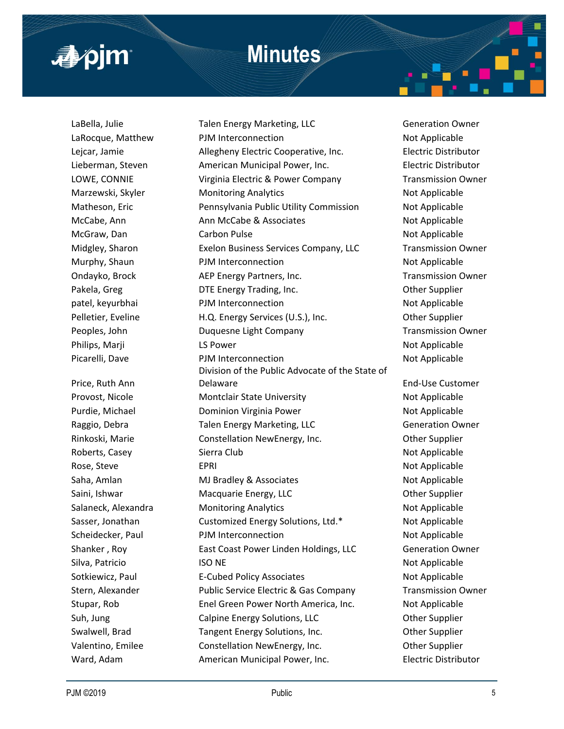

## **Minutes**

Price, Ruth Ann

LaBella, Julie **Talen Energy Marketing, LLC** Generation Owner LaRocque, Matthew PJM Interconnection Not Applicable Lejcar, Jamie Allegheny Electric Cooperative, Inc. Electric Distributor Lieberman, Steven American Municipal Power, Inc. Electric Distributor LOWE, CONNIE Virginia Electric & Power Company Transmission Owner Marzewski, Skyler **Monitoring Analytics** Not Applicable Matheson, Eric Pennsylvania Public Utility Commission Not Applicable McCabe, Ann **McCabe & Associates** Not Applicable Not Applicable McGraw, Dan Not Applicable Not Applicable Not Applicable Not Applicable Midgley, Sharon Exelon Business Services Company, LLC Transmission Owner Murphy, Shaun **PJM Interconnection** Not Applicable Ondayko, Brock AEP Energy Partners, Inc. Transmission Owner Pakela, Greg **DTE Energy Trading, Inc.** Character Supplier patel, keyurbhai PJM Interconnection Not Applicable Pelletier, Eveline **H.Q. Energy Services (U.S.), Inc.** Other Supplier Peoples, John **Duquesne Light Company Transmission Owner** Philips, Marji **LS Power** Communication Communication Communication Communication Communication Communication Communication Communication Communication Communication Communication Communication Communication Communication Picarelli, Dave **PJM Interconnection** and Mot Applicable Division of the Public Advocate of the State of Delaware **End-Use Customer** Provost, Nicole **Montclair State University** Montcomest Applicable Purdie, Michael **Dominion Virginia Power** Not Applicable Raggio, Debra **Talen Energy Marketing, LLC** Generation Owner Rinkoski, Marie Constellation NewEnergy, Inc. Other Supplier Roberts, Casey **Sierra Club** Not Applicable Not Applicable Rose, Steve **EPRI** EPRI Not Applicable Saha, Amlan **MJ Bradley & Associates** Not Applicable Saini, Ishwar **Macquarie Energy, LLC** Charless Communication Communication of the Supplier Salaneck, Alexandra **Monitoring Analytics** Not Applicable Sasser, Jonathan **Customized Energy Solutions, Ltd.\*** Not Applicable Scheidecker, Paul PJM Interconnection Not Applicable Shanker, Roy **East Coast Power Linden Holdings, LLC** Generation Owner Silva, Patricio **ISO NE** Not Applicable Not Applicable Sotkiewicz, Paul **E-Cubed Policy Associates** Not Applicable Stern, Alexander **Public Service Electric & Gas Company** Transmission Owner Stupar, Rob Enel Green Power North America, Inc. Not Applicable Suh, Jung Calpine Energy Solutions, LLC Changes Calpine Energy Solutions, LLC Changes Cother Supplier Swalwell, Brad Tangent Energy Solutions, Inc. Other Supplier Valentino, Emilee Constellation NewEnergy, Inc. Other Supplier

Ward, Adam **American Municipal Power, Inc.** Electric Distributor